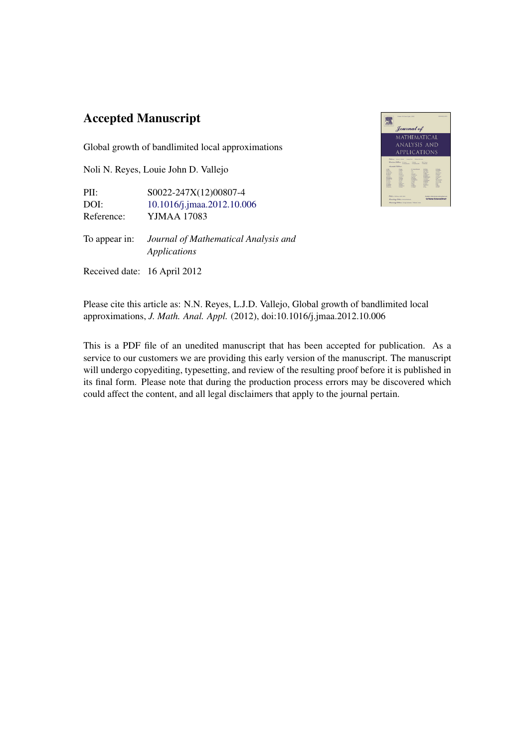#### Accepted Manuscript

Global growth of bandlimited local approximations

Noli N. Reyes, Louie John D. Vallejo

PII: S0022-247X(12)00807-4 DOI: [10.1016/j.jmaa.2012.10.006](http://dx.doi.org/10.1016/j.jmaa.2012.10.006) Reference: YJMAA 17083

To appear in: *Journal of Mathematical Analysis and Applications*

Received date: 16 April 2012



Please cite this article as: N.N. Reyes, L.J.D. Vallejo, Global growth of bandlimited local approximations, *J. Math. Anal. Appl.* (2012), doi:10.1016/j.jmaa.2012.10.006

This is a PDF file of an unedited manuscript that has been accepted for publication. As a service to our customers we are providing this early version of the manuscript. The manuscript will undergo copyediting, typesetting, and review of the resulting proof before it is published in its final form. Please note that during the production process errors may be discovered which could affect the content, and all legal disclaimers that apply to the journal pertain.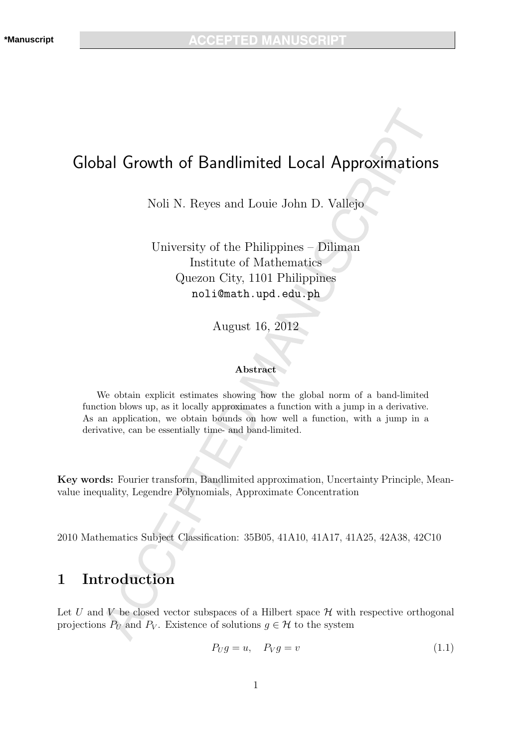## Global Growth of Bandlimited Local Approximations

Noli N. Reyes and Louie John D. Vallejo

University of the Philippines – Diliman Institute of Mathematics Quezon City, 1101 Philippines noli@math.upd.edu.ph

August 16, 2012

#### Abstract

We obtain explicit estimates showing how the global norm of a band-limited function blows up, as it locally approximates a function with a jump in a derivative. As an application, we obtain bounds on how well a function, with a jump in a derivative, can be essentially time- and band-limited.

Key words: Fourier transform, Bandlimited approximation, Uncertainty Principle, Meanvalue inequality, Legendre Polynomials, Approximate Concentration

2010 Mathematics Subject Classification: 35B05, 41A10, 41A17, 41A25, 42A38, 42C10

#### 1 Introduction

Let U and V be closed vector subspaces of a Hilbert space  $\mathcal H$  with respective orthogonal projections  $P_U$  and  $P_V$ . Existence of solutions  $g \in \mathcal{H}$  to the system

$$
P_U g = u, \quad P_V g = v \tag{1.1}
$$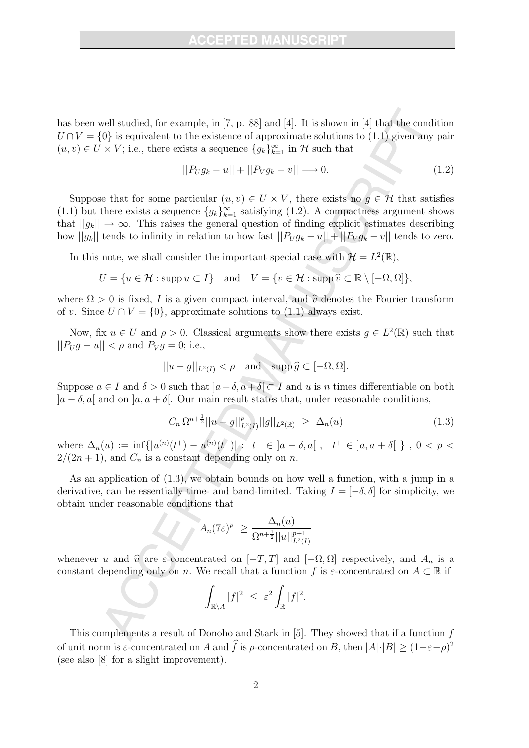has been well studied, for example, in [7, p. 88] and [4]. It is shown in [4] that the condition  $U \cap V = \{0\}$  is equivalent to the existence of approximate solutions to (1.1) given any pair  $(u, v) \in U \times V$ ; i.e., there exists a sequence  ${g_k}_{k=1}^{\infty}$  in  $\mathcal{H}$  such that

$$
||P_U g_k - u|| + ||P_V g_k - v|| \longrightarrow 0. \tag{1.2}
$$

Suppose that for some particular  $(u, v) \in U \times V$ , there exists no  $g \in \mathcal{H}$  that satisfies (1.1) but there exists a sequence  $\{g_k\}_{k=1}^{\infty}$  satisfying (1.2). A compactness argument shows that  $||g_k|| \to \infty$ . This raises the general question of finding explicit estimates describing how  $||g_k||$  tends to infinity in relation to how fast  $||P_U g_k - u|| + ||P_V g_k - v||$  tends to zero.

In this note, we shall consider the important special case with  $\mathcal{H} = L^2(\mathbb{R}),$ 

$$
U = \{ u \in \mathcal{H} : \operatorname{supp} u \subset I \} \quad \text{and} \quad V = \{ v \in \mathcal{H} : \operatorname{supp} \widehat{v} \subset \mathbb{R} \setminus [-\Omega, \Omega] \},
$$

where  $\Omega > 0$  is fixed, I is a given compact interval, and  $\hat{v}$  denotes the Fourier transform of v. Since  $U \cap V = \{0\}$ , approximate solutions to (1.1) always exist.

Now, fix  $u \in U$  and  $\rho > 0$ . Classical arguments show there exists  $g \in L^2(\mathbb{R})$  such that  $||P_{U}g - u|| < \rho$  and  $P_{V}g = 0$ ; i.e.,

$$
||u - g||_{L^2(I)} < \rho
$$
 and  $\operatorname{supp} \widehat{g} \subset [-\Omega, \Omega].$ 

Suppose  $a \in I$  and  $\delta > 0$  such that  $[a - \delta, a + \delta] \subset I$  and u is n times differentiable on both  $|a-\delta, a|$  and on  $|a, a+\delta|$ . Our main result states that, under reasonable conditions,

$$
C_n \Omega^{n + \frac{1}{2}} ||u - g||_{L^2(I)}^p ||g||_{L^2(\mathbb{R})} \geq \Delta_n(u) \tag{1.3}
$$

where  $\Delta_n(u) := \inf \{ |u^{(n)}(t^+) - u^{(n)}(t^-)| : t^- \in ]a - \delta, a[ \ , t^+ \in ]a, a + \delta[ \ \} \ , \ 0 \leq p \leq$  $2/(2n+1)$ , and  $C_n$  is a constant depending only on n.

As an application of (1.3), we obtain bounds on how well a function, with a jump in a derivative, can be essentially time- and band-limited. Taking  $I = [-\delta, \delta]$  for simplicity, we obtain under reasonable conditions that

$$
A_n(7\varepsilon)^p \ge \frac{\Delta_n(u)}{\Omega^{n+\frac{1}{2}}||u||_{L^2(I)}^{p+1}}
$$

whenever u and  $\hat{u}$  are  $\varepsilon$ -concentrated on  $[-T, T]$  and  $[-\Omega, \Omega]$  respectively, and  $A_n$  is a constant depending only on n. We recall that a function f is  $\varepsilon$ -concentrated on  $A \subset \mathbb{R}$  if

$$
\int_{\mathbb{R}\setminus A}|f|^2 \ \leq \ \varepsilon^2 \int_{\mathbb{R}}|f|^2.
$$

This complements a result of Donoho and Stark in  $[5]$ . They showed that if a function  $f$ of unit norm is  $\varepsilon$ -concentrated on A and f is  $\rho$ -concentrated on B, then  $|A|\cdot|B| \ge (1-\varepsilon-\rho)^2$ (see also [8] for a slight improvement).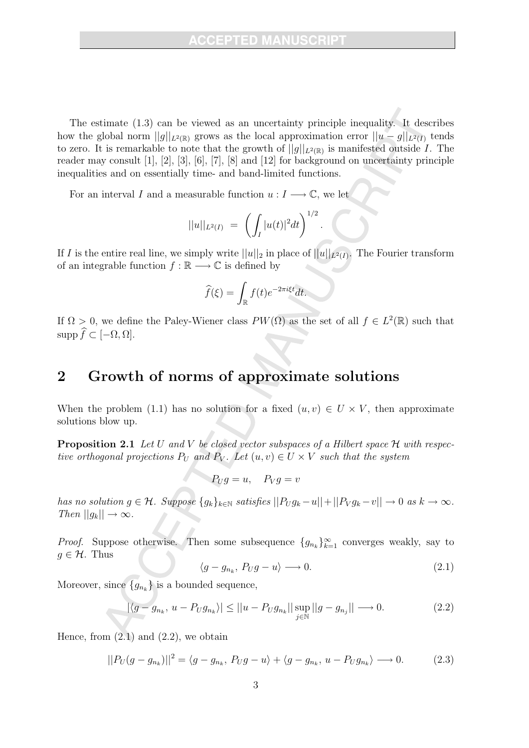The estimate (1.3) can be viewed as an uncertainty principle inequality. It describes how the global norm  $||q||_{L^2(\mathbb{R})}$  grows as the local approximation error  $||u - q||_{L^2(I)}$  tends to zero. It is remarkable to note that the growth of  $||g||_{L^2(\mathbb{R})}$  is manifested outside I. The reader may consult [1], [2], [3], [6], [7], [8] and [12] for background on uncertainty principle inequalities and on essentially time- and band-limited functions.

For an interval I and a measurable function  $u: I \longrightarrow \mathbb{C}$ , we let

$$
||u||_{L^2(I)} = \left(\int_I |u(t)|^2 dt\right)^{1/2}
$$

.

If I is the entire real line, we simply write  $||u||_2$  in place of  $||u||_{L^2(I)}$ . The Fourier transform of an integrable function  $f : \mathbb{R} \longrightarrow \mathbb{C}$  is defined by

$$
\widehat{f}(\xi) = \int_{\mathbb{R}} f(t)e^{-2\pi i \xi t} dt.
$$

If  $\Omega > 0$ , we define the Paley-Wiener class  $PW(\Omega)$  as the set of all  $f \in L^2(\mathbb{R})$  such that  $\text{supp }\widehat{f}\subset [-\Omega,\Omega].$ 

### 2 Growth of norms of approximate solutions

When the problem (1.1) has no solution for a fixed  $(u, v) \in U \times V$ , then approximate solutions blow up.

**Proposition 2.1** Let U and V be closed vector subspaces of a Hilbert space  $H$  with respective orthogonal projections  $P_U$  and  $P_V$ . Let  $(u, v) \in U \times V$  such that the system

 $P_U g = u$ ,  $P_V g = v$ 

has no solution  $g \in \mathcal{H}$ . Suppose  $\{g_k\}_{k \in \mathbb{N}}$  satisfies  $||P_U g_k - u|| + ||P_V g_k - v|| \to 0$  as  $k \to \infty$ . Then  $||g_k|| \rightarrow \infty$ .

*Proof.* Suppose otherwise. Then some subsequence  $\{g_{n_k}\}_{k=1}^{\infty}$  converges weakly, say to  $g \in \mathcal{H}$ . Thus

$$
\langle g - g_{n_k}, P_U g - u \rangle \longrightarrow 0. \tag{2.1}
$$

Moreover, since  ${g_{n_k}}$  is a bounded sequence,

$$
|\langle g - g_{n_k}, u - P_U g_{n_k} \rangle| \le ||u - P_U g_{n_k}|| \sup_{j \in \mathbb{N}} ||g - g_{n_j}|| \longrightarrow 0. \tag{2.2}
$$

Hence, from  $(2.1)$  and  $(2.2)$ , we obtain

$$
||P_U(g - g_{n_k})||^2 = \langle g - g_{n_k}, P_Ug - u \rangle + \langle g - g_{n_k}, u - P_Ug_{n_k} \rangle \longrightarrow 0.
$$
 (2.3)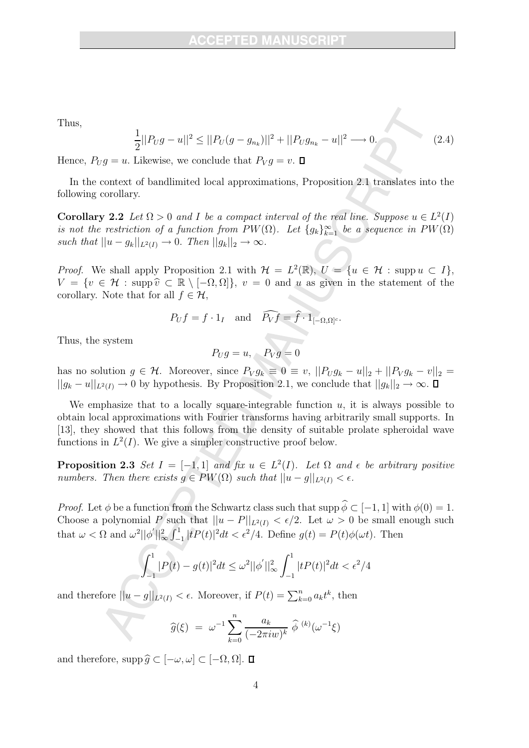Thus,

$$
\frac{1}{2}||P_Ug - u||^2 \le ||P_U(g - g_{n_k})||^2 + ||P_Ug_{n_k} - u||^2 \longrightarrow 0.
$$
\n(2.4)

Hence,  $P_U g = u$ . Likewise, we conclude that  $P_V g = v$ .  $\Box$ 

In the context of bandlimited local approximations, Proposition 2.1 translates into the following corollary.

**Corollary 2.2** Let  $\Omega > 0$  and I be a compact interval of the real line. Suppose  $u \in L^2(I)$ is not the restriction of a function from  $PW(\Omega)$ . Let  $\{g_k\}_{k=1}^{\infty}$  be a sequence in  $PW(\Omega)$ such that  $||u - g_k||_{L^2(I)} \to 0$ . Then  $||g_k||_2 \to \infty$ .

*Proof.* We shall apply Proposition 2.1 with  $\mathcal{H} = L^2(\mathbb{R})$ ,  $U = \{u \in \mathcal{H} : \text{supp } u \subset I\},$  $V = \{v \in \mathcal{H} : \operatorname{supp} \hat{v} \subset \mathbb{R} \setminus [-\Omega, \Omega] \}, v = 0 \text{ and } u \text{ as given in the statement of the }$ corollary. Note that for all  $f \in \mathcal{H}$ ,

$$
P_U f = f \cdot 1_I
$$
 and  $\widehat{P_V f} = \widehat{f} \cdot 1_{[-\Omega,\Omega]^c}$ .

Thus, the system

$$
P_U g = u, \quad P_V g = 0
$$

has no solution  $g \in \mathcal{H}$ . Moreover, since  $P_V g_k \equiv 0 \equiv v$ ,  $||P_U g_k - u||_2 + ||P_V g_k - v||_2 =$  $||g_k - u||_{L^2(I)} \to 0$  by hypothesis. By Proposition 2.1, we conclude that  $||g_k||_2 \to \infty$ .  $\Box$ 

We emphasize that to a locally square-integrable function  $u$ , it is always possible to obtain local approximations with Fourier transforms having arbitrarily small supports. In [13], they showed that this follows from the density of suitable prolate spheroidal wave functions in  $L^2(I)$ . We give a simpler constructive proof below.

**Proposition 2.3** Set  $I = [-1, 1]$  and fix  $u \in L^2(I)$ . Let  $\Omega$  and  $\epsilon$  be arbitrary positive numbers. Then there exists  $g \in PW(\Omega)$  such that  $||u - g||_{L^2(I)} < \epsilon$ .

*Proof.* Let  $\phi$  be a function from the Schwartz class such that  $\text{supp }\hat{\phi} \subset [-1, 1]$  with  $\phi(0) = 1$ . Choose a polynomial P such that  $||u - P||_{L^2(I)} < \epsilon/2$ . Let  $\omega > 0$  be small enough such that  $\omega < \Omega$  and  $\omega^2 ||\phi'||_{\infty}^2 \int_{-1}^{1}$  $\int_{-1}^{1} |tP(t)|^2 dt < \epsilon^2/4$ . Define  $g(t) = P(t)\phi(\omega t)$ . Then

$$
\int_{-1}^{1} |P(t) - g(t)|^2 dt \le \omega^2 ||\phi'||_{\infty}^2 \int_{-1}^{1} |tP(t)|^2 dt < \epsilon^2/4
$$

and therefore  $||u - g||_{L^2(I)} < \epsilon$ . Moreover, if  $P(t) = \sum_{k=0}^n a_k t^k$ , then

$$
\widehat{g}(\xi) = \omega^{-1} \sum_{k=0}^{n} \frac{a_k}{(-2\pi i w)^k} \widehat{\phi}^{(k)}(\omega^{-1}\xi)
$$

and therefore,  $\operatorname{supp} \widehat{g} \subset [-\omega, \omega] \subset [-\Omega, \Omega].$   $\Box$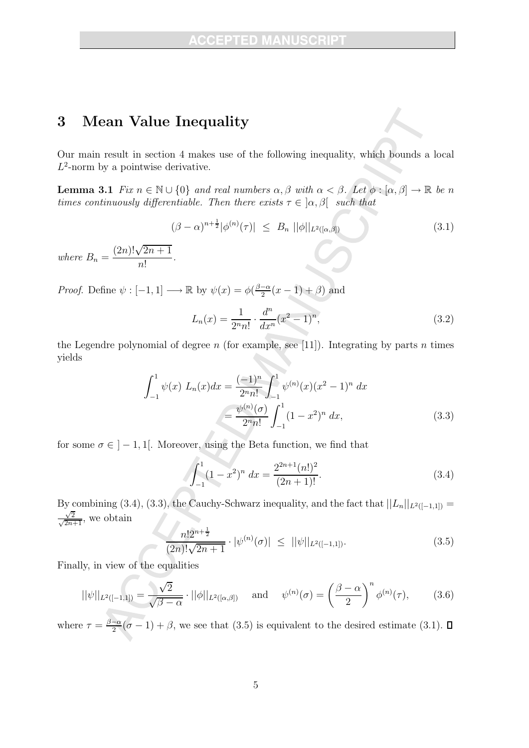#### 3 Mean Value Inequality

where  $B_n =$ 

Our main result in section 4 makes use of the following inequality, which bounds a local  $L^2$ -norm by a pointwise derivative.

**Lemma 3.1** Fix  $n \in \mathbb{N} \cup \{0\}$  and real numbers  $\alpha, \beta$  with  $\alpha < \beta$ . Let  $\phi : [\alpha, \beta] \to \mathbb{R}$  be n times continuously differentiable. Then there exists  $\tau \in [\alpha, \beta]$  such that

$$
(\beta - \alpha)^{n + \frac{1}{2}} |\phi^{(n)}(\tau)| \leq B_n ||\phi||_{L^2([\alpha, \beta])}
$$
\n(3.1)\n  
\n
$$
\frac{(2n)! \sqrt{2n + 1}}{n!}.
$$

*Proof.* Define  $\psi : [-1, 1] \longrightarrow \mathbb{R}$  by  $\psi(x) = \phi\left(\frac{\beta - \alpha}{2}(x - 1) + \beta\right)$  and

$$
L_n(x) = \frac{1}{2^n n!} \cdot \frac{d^n}{dx^n} (x^2 - 1)^n,
$$
\n(3.2)

the Legendre polynomial of degree  $n$  (for example, see [11]). Integrating by parts  $n$  times yields

$$
\int_{-1}^{1} \psi(x) L_n(x) dx = \frac{(-1)^n}{2^n n!} \int_{-1}^{1} \psi^{(n)}(x) (x^2 - 1)^n dx
$$

$$
= \frac{\psi^{(n)}(\sigma)}{2^n n!} \int_{-1}^{1} (1 - x^2)^n dx,
$$
(3.3)

for some  $\sigma \in ]-1,1[$ . Moreover, using the Beta function, we find that

$$
\int_{-1}^{1} (1 - x^2)^n dx = \frac{2^{2n+1} (n!)^2}{(2n+1)!}.
$$
 (3.4)

By combining (3.4), (3.3), the Cauchy-Schwarz inequality, and the fact that  $||L_n||_{L^2([-1,1])} =$  $\frac{\sqrt{2}}{\sqrt{2n+1}}$ , we obtain

$$
\frac{n!2^{n+\frac{1}{2}}}{(2n)!\sqrt{2n+1}} \cdot |\psi^{(n)}(\sigma)| \leq ||\psi||_{L^2([-1,1])}.\tag{3.5}
$$

Finally, in view of the equalities

$$
||\psi||_{L^2([-1,1])} = \frac{\sqrt{2}}{\sqrt{\beta - \alpha}} \cdot ||\phi||_{L^2([{\alpha},{{\beta}}])} \quad \text{and} \quad \psi^{(n)}(\sigma) = \left(\frac{\beta - \alpha}{2}\right)^n \phi^{(n)}(\tau), \tag{3.6}
$$

where  $\tau = \frac{\beta - \alpha}{2}(\sigma - 1) + \beta$ , we see that (3.5) is equivalent to the desired estimate (3.1).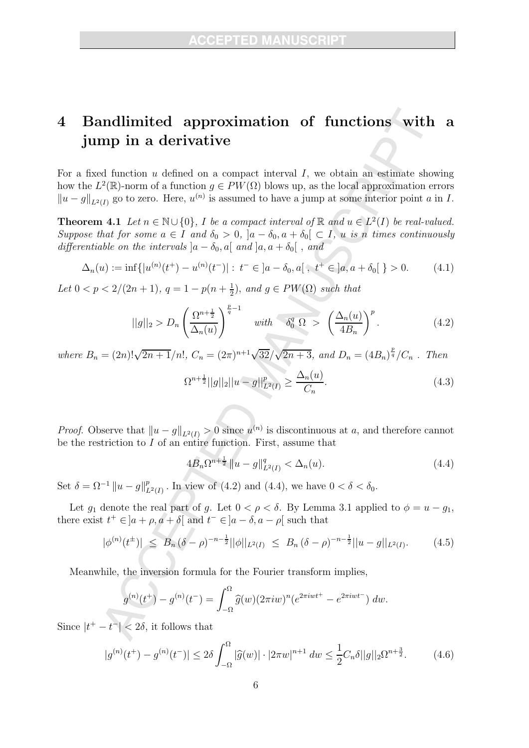# 4 Bandlimited approximation of functions with a jump in a derivative

For a fixed function  $u$  defined on a compact interval  $I$ , we obtain an estimate showing how the  $L^2(\mathbb{R})$ -norm of a function  $g \in PW(\Omega)$  blows up, as the local approximation errors  $||u - g||_{L^2(I)}$  go to zero. Here,  $u^{(n)}$  is assumed to have a jump at some interior point a in I.

**Theorem 4.1** Let  $n \in \mathbb{N} \cup \{0\}$ , I be a compact interval of  $\mathbb{R}$  and  $u \in L^2(I)$  be real-valued. Suppose that for some  $a \in I$  and  $\delta_0 > 0$ ,  $|a - \delta_0, a + \delta_0| \subset I$ , u is n times continuously differentiable on the intervals  $|a - \delta_0, a|$  and  $|a, a + \delta_0|$ , and

$$
\Delta_n(u) := \inf\{|u^{(n)}(t^+) - u^{(n)}(t^-)| : t^- \in ]a - \delta_0, a[ \ , t^+ \in ]a, a + \delta_0[ \ } > 0. \tag{4.1}
$$

Let  $0 < p < 2/(2n+1)$ ,  $q = 1 - p(n + \frac{1}{2})$  $(\frac{1}{2})$ , and  $g \in PW(\Omega)$  such that

$$
||g||_2 > D_n \left(\frac{\Omega^{n+\frac{1}{2}}}{\Delta_n(u)}\right)^{\frac{p}{q}-1} \quad \text{with} \quad \delta_0^q \Omega > \left(\frac{\Delta_n(u)}{4B_n}\right)^p. \tag{4.2}
$$

where  $B_n = (2n)! \sqrt{2n+1}/n!$ ,  $C_n = (2\pi)^{n+1} \sqrt{32}/\sqrt{2n+3}$ , and  $D_n = (4B_n)^{\frac{p}{q}}/C_n$ . Then

$$
\Omega^{n+\frac{1}{2}}||g||_2||u-g||_{L^2(I)}^p \ge \frac{\Delta_n(u)}{C_n}.\tag{4.3}
$$

*Proof.* Observe that  $||u - g||_{L^2(I)} > 0$  since  $u^{(n)}$  is discontinuous at a, and therefore cannot be the restriction to  $I$  of an entire function. First, assume that

$$
4B_n\Omega^{n+\frac{1}{2}} \|u-g\|_{L^2(I)}^q < \Delta_n(u). \tag{4.4}
$$

Set  $\delta = \Omega^{-1} ||u - g||_L^p$  $L^p(L^2(I))$ . In view of (4.2) and (4.4), we have  $0 < \delta < \delta_0$ .

Let  $g_1$  denote the real part of g. Let  $0 < \rho < \delta$ . By Lemma 3.1 applied to  $\phi = u - g_1$ , there exist  $t^+ \in ]a + \rho, a + \delta[$  and  $t^- \in ]a - \delta, a - \rho[$  such that

$$
|\phi^{(n)}(t^{\pm})| \leq B_n (\delta - \rho)^{-n - \frac{1}{2}} ||\phi||_{L^2(I)} \leq B_n (\delta - \rho)^{-n - \frac{1}{2}} ||u - g||_{L^2(I)}.
$$
 (4.5)

Meanwhile, the inversion formula for the Fourier transform implies,

$$
g^{(n)}(t^+) - g^{(n)}(t^-) = \int_{-\Omega}^{\Omega} \hat{g}(w) (2\pi i w)^n (e^{2\pi i w t^+} - e^{2\pi i w t^-}) dw.
$$

Since  $|t^+ - t^-| < 2\delta$ , it follows that

$$
|g^{(n)}(t^{+}) - g^{(n)}(t^{-})| \le 2\delta \int_{-\Omega}^{\Omega} |\widehat{g}(w)| \cdot |2\pi w|^{n+1} dw \le \frac{1}{2} C_n \delta ||g||_2 \Omega^{n + \frac{3}{2}}.
$$
 (4.6)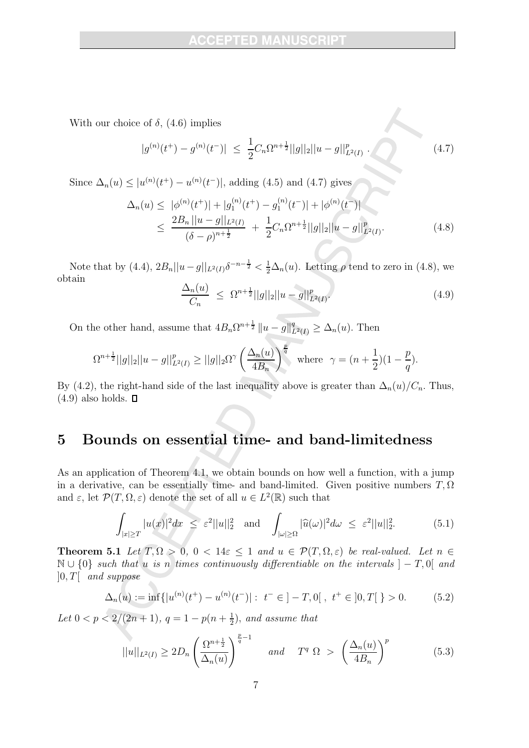With our choice of  $\delta$ , (4.6) implies

$$
|g^{(n)}(t^+) - g^{(n)}(t^-)| \le \frac{1}{2} C_n \Omega^{n + \frac{1}{2}} ||g||_2 ||u - g||_{L^2(I)}^p. \tag{4.7}
$$

Since  $\Delta_n(u) \leq |u^{(n)}(t^+) - u^{(n)}(t^-)|$ , adding (4.5) and (4.7) gives

$$
\Delta_n(u) \leq |\phi^{(n)}(t^+)| + |g_1^{(n)}(t^+) - g_1^{(n)}(t^-)| + |\phi^{(n)}(t^-)|
$$
  

$$
\leq \frac{2B_n ||u - g||_{L^2(I)}}{(\delta - \rho)^{n + \frac{1}{2}}} + \frac{1}{2}C_n \Omega^{n + \frac{1}{2}} ||g||_2 ||u - g||_{L^2(I)}^p.
$$
 (4.8)

Note that by (4.4),  $2B_n||u-g||_{L^2(I)}\delta^{-n-\frac{1}{2}} < \frac{1}{2}\Delta_n(u)$ . Letting  $\rho$  tend to zero in (4.8), we obtain

$$
\frac{\Delta_n(u)}{C_n} \le \Omega^{n+\frac{1}{2}}||g||_2||u - g||_{L^2(I)}^p \tag{4.9}
$$

On the other hand, assume that  $4B_n \Omega^{n+\frac{1}{2}} \|u - g\|_{L^2(I)}^q \geq \Delta_n(u)$ . Then

$$
\Omega^{n+\frac{1}{2}}||g||_2||u-g||_{L^2(I)}^p \ge ||g||_2 \Omega^\gamma \left(\frac{\Delta_n(u)}{4B_n}\right)^{\frac{p}{q}} \text{ where } \gamma = (n+\frac{1}{2})(1-\frac{p}{q}).
$$

By (4.2), the right-hand side of the last inequality above is greater than  $\Delta_n(u)/C_n$ . Thus,  $(4.9)$  also holds.  $\Box$ 

### 5 Bounds on essential time- and band-limitedness

As an application of Theorem 4.1, we obtain bounds on how well a function, with a jump in a derivative, can be essentially time- and band-limited. Given positive numbers  $T, \Omega$ and  $\varepsilon$ , let  $\mathcal{P}(T, \Omega, \varepsilon)$  denote the set of all  $u \in L^2(\mathbb{R})$  such that

$$
\int_{|x| \ge T} |u(x)|^2 dx \le \varepsilon^2 ||u||_2^2 \quad \text{and} \quad \int_{|\omega| \ge \Omega} |\widehat{u}(\omega)|^2 d\omega \le \varepsilon^2 ||u||_2^2. \tag{5.1}
$$

**Theorem 5.1** Let  $T, \Omega > 0, 0 < 14\varepsilon < 1$  and  $u \in \mathcal{P}(T, \Omega, \varepsilon)$  be real-valued. Let  $n \in \mathbb{R}$  $\mathbb{N} \cup \{0\}$  such that u is n times continuously differentiable on the intervals  $]-T,0[$  and  $]0,T[ \ \ \, and \,\, suppose$ 

$$
\Delta_n(u) := \inf\{|u^{(n)}(t^+) - u^{(n)}(t^-)| : t^- \in ]-T, 0[ \ , t^+ \in ]0, T[ \ } > 0. \tag{5.2}
$$

Let  $0 < p < 2/(2n+1)$ ,  $q = 1 - p(n + \frac{1}{2})$  $\frac{1}{2}$ ), and assume that

$$
||u||_{L^{2}(I)} \ge 2D_{n} \left(\frac{\Omega^{n+\frac{1}{2}}}{\Delta_{n}(u)}\right)^{\frac{p}{q}-1} \quad \text{and} \quad T^{q} \Omega > \left(\frac{\Delta_{n}(u)}{4B_{n}}\right)^{p} \tag{5.3}
$$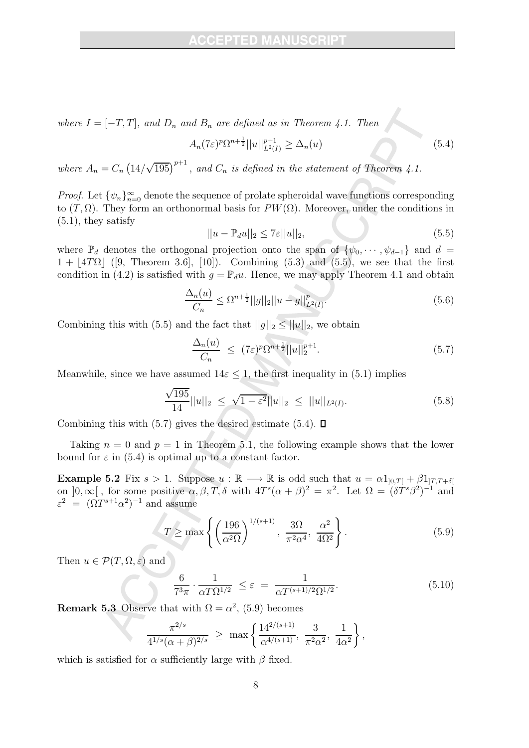where  $I = [-T, T]$ , and  $D_n$  and  $B_n$  are defined as in Theorem 4.1. Then

$$
A_n(7\varepsilon)^p \Omega^{n+\frac{1}{2}} ||u||_{L^2(I)}^{p+1} \ge \Delta_n(u) \tag{5.4}
$$

where  $A_n = C_n \left( \frac{14}{\sqrt{195}} \right)^{p+1}$ , and  $C_n$  is defined in the statement of Theorem 4.1.

*Proof.* Let  $\{\psi_n\}_{n=0}^{\infty}$  denote the sequence of prolate spheroidal wave functions corresponding to  $(T, \Omega)$ . They form an orthonormal basis for  $PW(\Omega)$ . Moreover, under the conditions in  $(5.1)$ , they satisfy

$$
||u - \mathbb{P}_d u||_2 \le 7\varepsilon ||u||_2,\tag{5.5}
$$

where  $\mathbb{P}_d$  denotes the orthogonal projection onto the span of  $\{\psi_0, \dots, \psi_{d-1}\}\$  and  $d=$  $1 + |4T\Omega|$  ([9, Theorem 3.6], [10]). Combining (5.3) and (5.5), we see that the first condition in (4.2) is satisfied with  $g = \mathbb{P}_d u$ . Hence, we may apply Theorem 4.1 and obtain

$$
\frac{\Delta_n(u)}{C_n} \le \Omega^{n+\frac{1}{2}} ||g||_2 ||u - g||^p_{L^2(I)}.
$$
\n(5.6)

Combining this with (5.5) and the fact that  $||g||_2 \le ||u||_2$ , we obtain

$$
\frac{\Delta_n(u)}{C_n} \le (7\varepsilon)^p \Omega^{n+\frac{1}{2}} ||u||_2^{p+1}.
$$
\n(5.7)

Meanwhile, since we have assumed  $14\varepsilon \leq 1$ , the first inequality in (5.1) implies

$$
\frac{\sqrt{195}}{14}||u||_2 \le \sqrt{1-\varepsilon^2}||u||_2 \le ||u||_{L^2(I)}.
$$
\n(5.8)

Combining this with (5.7) gives the desired estimate (5.4).  $\Box$ 

Taking  $n = 0$  and  $p = 1$  in Theorem 5.1, the following example shows that the lower bound for  $\varepsilon$  in (5.4) is optimal up to a constant factor.

**Example 5.2** Fix  $s > 1$ . Suppose  $u : \mathbb{R} \longrightarrow \mathbb{R}$  is odd such that  $u = \alpha 1_{[0,T]} + \beta 1_{[T,T+\delta]}$ on  $]0,\infty[$ , for some positive  $\alpha, \beta, T, \delta$  with  $4T^s(\alpha+\beta)^2 = \pi^2$ . Let  $\Omega = (\delta T^s \beta^2)^{-1}$  and  $\varepsilon^2 = (\Omega T^{s+1} \alpha^2)^{-1}$  and assume

$$
T \ge \max \left\{ \left( \frac{196}{\alpha^2 \Omega} \right)^{1/(s+1)}, \frac{3\Omega}{\pi^2 \alpha^4}, \frac{\alpha^2}{4\Omega^2} \right\}.
$$
 (5.9)

Then  $u \in \mathcal{P}(T, \Omega, \varepsilon)$  and

$$
\frac{6}{7^3 \pi} \cdot \frac{1}{\alpha T \Omega^{1/2}} \le \varepsilon = \frac{1}{\alpha T^{(s+1)/2} \Omega^{1/2}}.
$$
\n(5.10)

**Remark 5.3** Observe that with  $\Omega = \alpha^2$ , (5.9) becomes

$$
\frac{\pi^{2/s}}{4^{1/s}(\alpha+\beta)^{2/s}} \ge \max\left\{\frac{14^{2/(s+1)}}{\alpha^{4/(s+1)}}, \frac{3}{\pi^2\alpha^2}, \frac{1}{4\alpha^2}\right\},\,
$$

which is satisfied for  $\alpha$  sufficiently large with  $\beta$  fixed.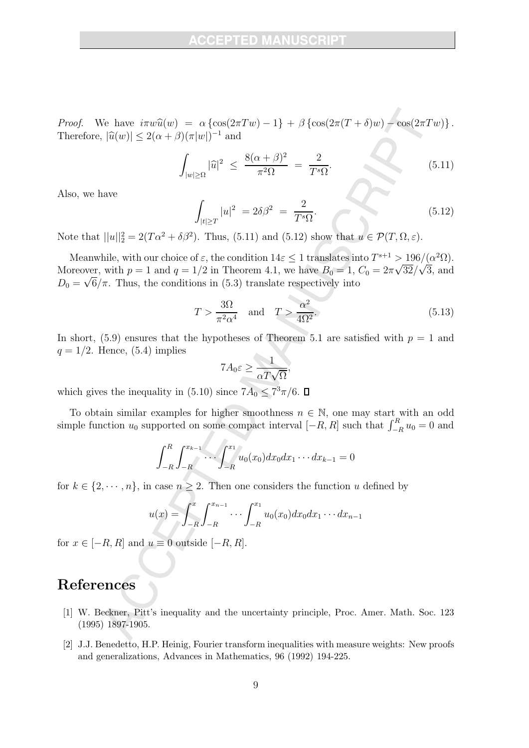Proof. We have  $i\pi w\widehat{u}(w) = \alpha \left\{ \cos(2\pi Tw) - 1 \right\} + \beta \left\{ \cos(2\pi (T + \delta)w) - \cos(2\pi Tw) \right\}.$ Therefore,  $|\widehat{u}(w)| \leq 2(\alpha + \beta)(\pi |w|)^{-1}$  and

$$
\int_{|w|\geq \Omega} |\widehat{u}|^2 \leq \frac{8(\alpha+\beta)^2}{\pi^2 \Omega} = \frac{2}{T^s \Omega}.
$$
\n(5.11)

Also, we have

$$
\int_{|t|\geq T} |u|^2 = 2\delta\beta^2 = \frac{2}{T^s \Omega}.
$$
\n(5.12)

Note that  $||u||_2^2 = 2(T\alpha^2 + \delta\beta^2)$ . Thus, (5.11) and (5.12) show that  $u \in \mathcal{P}(T, \Omega, \varepsilon)$ .

Meanwhile, with our choice of  $\varepsilon$ , the condition  $14\varepsilon \leq 1$  translates into  $T^{s+1} > \frac{196}{(\alpha^2 \Omega)}$ . Moreover, with  $p = 1$  and  $q = 1/2$  in Theorem 4.1, we have  $B_0 = 1$ ,  $C_0 = 2\pi\sqrt{32}/\sqrt{3}$ , and  $D_0 = \sqrt{6}/\pi$ . Thus, the conditions in (5.3) translate respectively into

$$
T > \frac{3\Omega}{\pi^2 \alpha^4} \quad \text{and} \quad T > \frac{\alpha^2}{4\Omega^2}.
$$
 (5.13)

In short, (5.9) ensures that the hypotheses of Theorem 5.1 are satisfied with  $p = 1$  and  $q = 1/2$ . Hence, (5.4) implies

$$
7A_0\varepsilon \ge \frac{1}{\alpha T\sqrt{\Omega}},
$$

which gives the inequality in (5.10) since  $7A_0 \leq 7^3 \pi/6$ .

To obtain similar examples for higher smoothness  $n \in \mathbb{N}$ , one may start with an odd simple function  $u_0$  supported on some compact interval  $[-R, R]$  such that  $\int_{-R}^{R} u_0 = 0$  and

$$
\int_{-R}^{R} \int_{-R}^{x_{k-1}} \cdots \int_{-R}^{x_1} u_0(x_0) dx_0 dx_1 \cdots dx_{k-1} = 0
$$

for  $k \in \{2, \dots, n\}$ , in case  $n \ge 2$ . Then one considers the function u defined by

$$
u(x) = \int_{-R}^{x} \int_{-R}^{x_{n-1}} \cdots \int_{-R}^{x_1} u_0(x_0) dx_0 dx_1 \cdots dx_{n-1}
$$

for  $x \in [-R, R]$  and  $u \equiv 0$  outside  $[-R, R]$ .

#### References

- [1] W. Beckner, Pitt's inequality and the uncertainty principle, Proc. Amer. Math. Soc. 123 (1995) 1897-1905.
- [2] J.J. Benedetto, H.P. Heinig, Fourier transform inequalities with measure weights: New proofs and generalizations, Advances in Mathematics, 96 (1992) 194-225.